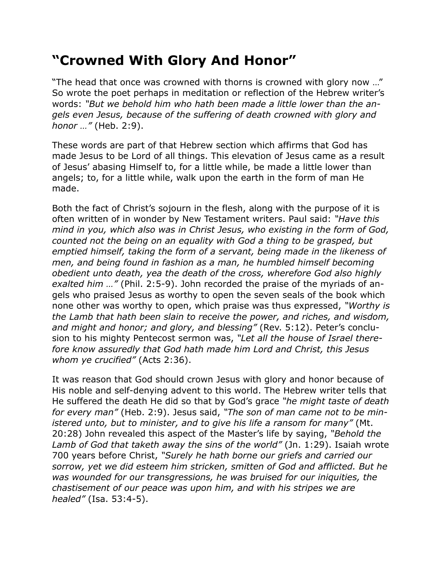## **"Crowned With Glory And Honor"**

"The head that once was crowned with thorns is crowned with glory now …" So wrote the poet perhaps in meditation or reflection of the Hebrew writer's words: *"But we behold him who hath been made a little lower than the angels even Jesus, because of the suffering of death crowned with glory and honor …"* (Heb. 2:9).

These words are part of that Hebrew section which affirms that God has made Jesus to be Lord of all things. This elevation of Jesus came as a result of Jesus' abasing Himself to, for a little while, be made a little lower than angels; to, for a little while, walk upon the earth in the form of man He made.

Both the fact of Christ's sojourn in the flesh, along with the purpose of it is often written of in wonder by New Testament writers. Paul said: *"Have this mind in you, which also was in Christ Jesus, who existing in the form of God, counted not the being on an equality with God a thing to be grasped, but emptied himself, taking the form of a servant, being made in the likeness of men, and being found in fashion as a man, he humbled himself becoming obedient unto death, yea the death of the cross, wherefore God also highly exalted him …"* (Phil. 2:5-9). John recorded the praise of the myriads of angels who praised Jesus as worthy to open the seven seals of the book which none other was worthy to open, which praise was thus expressed, *"Worthy is the Lamb that hath been slain to receive the power, and riches, and wisdom, and might and honor; and glory, and blessing"* (Rev. 5:12). Peter's conclusion to his mighty Pentecost sermon was, *"Let all the house of Israel therefore know assuredly that God hath made him Lord and Christ, this Jesus whom ye crucified"* (Acts 2:36).

It was reason that God should crown Jesus with glory and honor because of His noble and self-denying advent to this world. The Hebrew writer tells that He suffered the death He did so that by God's grace *"he might taste of death for every man"* (Heb. 2:9). Jesus said, *"The son of man came not to be ministered unto, but to minister, and to give his life a ransom for many"* (Mt. 20:28) John revealed this aspect of the Master's life by saying, *"Behold the Lamb of God that taketh away the sins of the world"* (Jn. 1:29). Isaiah wrote 700 years before Christ, *"Surely he hath borne our griefs and carried our sorrow, yet we did esteem him stricken, smitten of God and afflicted. But he was wounded for our transgressions, he was bruised for our iniquities, the chastisement of our peace was upon him, and with his stripes we are healed"* (Isa. 53:4-5).